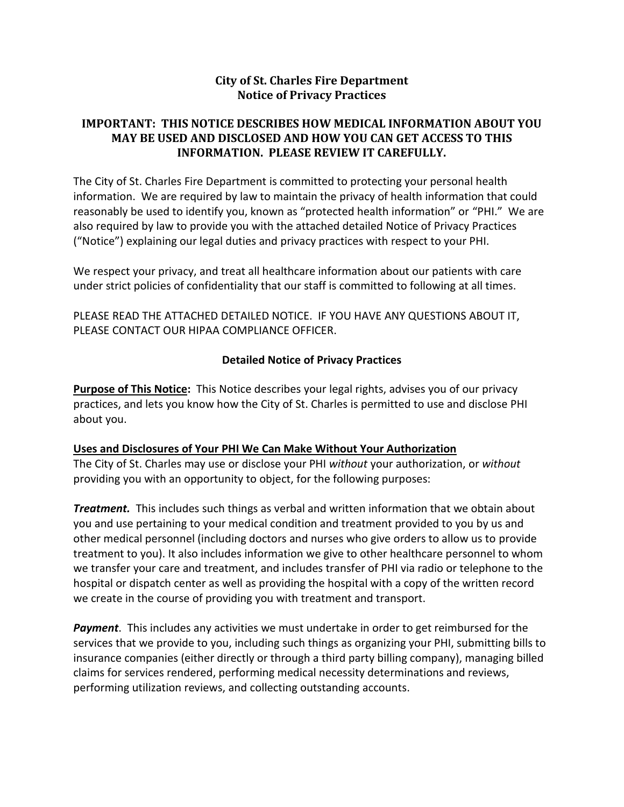# **City of St. Charles Fire Department Notice of Privacy Practices**

# **IMPORTANT: THIS NOTICE DESCRIBES HOW MEDICAL INFORMATION ABOUT YOU MAY BE USED AND DISCLOSED AND HOW YOU CAN GET ACCESS TO THIS INFORMATION. PLEASE REVIEW IT CAREFULLY.**

The City of St. Charles Fire Department is committed to protecting your personal health information. We are required by law to maintain the privacy of health information that could reasonably be used to identify you, known as "protected health information" or "PHI." We are also required by law to provide you with the attached detailed Notice of Privacy Practices ("Notice") explaining our legal duties and privacy practices with respect to your PHI.

We respect your privacy, and treat all healthcare information about our patients with care under strict policies of confidentiality that our staff is committed to following at all times.

PLEASE READ THE ATTACHED DETAILED NOTICE. IF YOU HAVE ANY QUESTIONS ABOUT IT, PLEASE CONTACT OUR HIPAA COMPLIANCE OFFICER.

### **Detailed Notice of Privacy Practices**

**Purpose of This Notice:**This Notice describes your legal rights, advises you of our privacy practices, and lets you know how the City of St. Charles is permitted to use and disclose PHI about you.

#### **Uses and Disclosures of Your PHI We Can Make Without Your Authorization**

The City of St. Charles may use or disclose your PHI *without* your authorization, or *without*  providing you with an opportunity to object, for the following purposes:

*Treatment.* This includes such things as verbal and written information that we obtain about you and use pertaining to your medical condition and treatment provided to you by us and other medical personnel (including doctors and nurses who give orders to allow us to provide treatment to you). It also includes information we give to other healthcare personnel to whom we transfer your care and treatment, and includes transfer of PHI via radio or telephone to the hospital or dispatch center as well as providing the hospital with a copy of the written record we create in the course of providing you with treatment and transport.

*Payment*. This includes any activities we must undertake in order to get reimbursed for the services that we provide to you, including such things as organizing your PHI, submitting bills to insurance companies (either directly or through a third party billing company), managing billed claims for services rendered, performing medical necessity determinations and reviews, performing utilization reviews, and collecting outstanding accounts.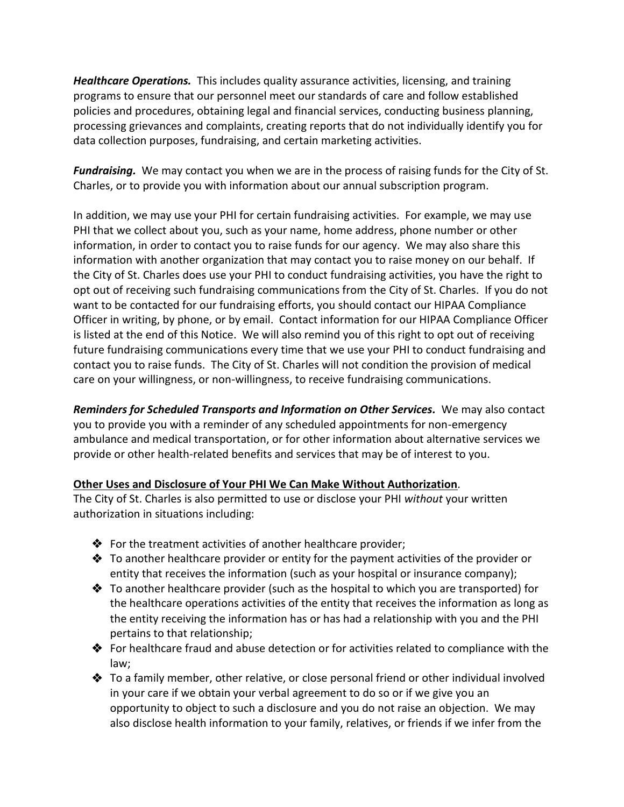*Healthcare Operations.* This includes quality assurance activities, licensing, and training programs to ensure that our personnel meet our standards of care and follow established policies and procedures, obtaining legal and financial services, conducting business planning, processing grievances and complaints, creating reports that do not individually identify you for data collection purposes, fundraising, and certain marketing activities.

*Fundraising.* We may contact you when we are in the process of raising funds for the City of St. Charles, or to provide you with information about our annual subscription program.

In addition, we may use your PHI for certain fundraising activities. For example, we may use PHI that we collect about you, such as your name, home address, phone number or other information, in order to contact you to raise funds for our agency. We may also share this information with another organization that may contact you to raise money on our behalf. If the City of St. Charles does use your PHI to conduct fundraising activities, you have the right to opt out of receiving such fundraising communications from the City of St. Charles. If you do not want to be contacted for our fundraising efforts, you should contact our HIPAA Compliance Officer in writing, by phone, or by email. Contact information for our HIPAA Compliance Officer is listed at the end of this Notice. We will also remind you of this right to opt out of receiving future fundraising communications every time that we use your PHI to conduct fundraising and contact you to raise funds. The City of St. Charles will not condition the provision of medical care on your willingness, or non-willingness, to receive fundraising communications.

*Reminders for Scheduled Transports and Information on Other Services.* We may also contact you to provide you with a reminder of any scheduled appointments for non-emergency ambulance and medical transportation, or for other information about alternative services we provide or other health-related benefits and services that may be of interest to you.

# **Other Uses and Disclosure of Your PHI We Can Make Without Authorization***.*

The City of St. Charles is also permitted to use or disclose your PHI *without* your written authorization in situations including:

- $\triangle$  For the treatment activities of another healthcare provider;
- $\clubsuit$  To another healthcare provider or entity for the payment activities of the provider or entity that receives the information (such as your hospital or insurance company);
- $\clubsuit$  To another healthcare provider (such as the hospital to which you are transported) for the healthcare operations activities of the entity that receives the information as long as the entity receiving the information has or has had a relationship with you and the PHI pertains to that relationship;
- $\clubsuit$  For healthcare fraud and abuse detection or for activities related to compliance with the law;
- To a family member, other relative, or close personal friend or other individual involved in your care if we obtain your verbal agreement to do so or if we give you an opportunity to object to such a disclosure and you do not raise an objection. We may also disclose health information to your family, relatives, or friends if we infer from the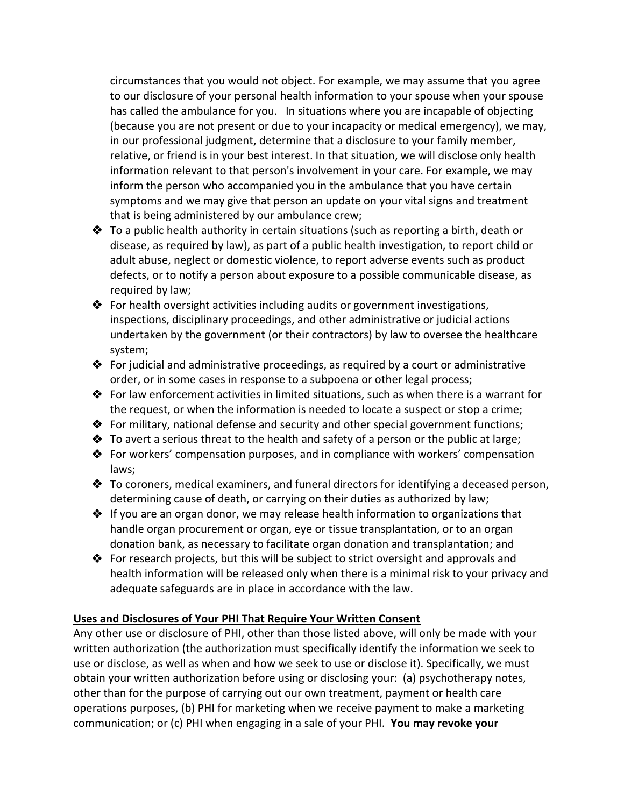circumstances that you would not object. For example, we may assume that you agree to our disclosure of your personal health information to your spouse when your spouse has called the ambulance for you. In situations where you are incapable of objecting (because you are not present or due to your incapacity or medical emergency), we may, in our professional judgment, determine that a disclosure to your family member, relative, or friend is in your best interest. In that situation, we will disclose only health information relevant to that person's involvement in your care. For example, we may inform the person who accompanied you in the ambulance that you have certain symptoms and we may give that person an update on your vital signs and treatment that is being administered by our ambulance crew;

- $\clubsuit$  To a public health authority in certain situations (such as reporting a birth, death or disease, as required by law), as part of a public health investigation, to report child or adult abuse, neglect or domestic violence, to report adverse events such as product defects, or to notify a person about exposure to a possible communicable disease, as required by law;
- ◆ For health oversight activities including audits or government investigations, inspections, disciplinary proceedings, and other administrative or judicial actions undertaken by the government (or their contractors) by law to oversee the healthcare system;
- For judicial and administrative proceedings, as required by a court or administrative order, or in some cases in response to a subpoena or other legal process;
- For law enforcement activities in limited situations, such as when there is a warrant for the request, or when the information is needed to locate a suspect or stop a crime;
- For military, national defense and security and other special government functions;
- $\triangle$  To avert a serious threat to the health and safety of a person or the public at large;
- For workers' compensation purposes, and in compliance with workers' compensation laws;
- $\clubsuit$  To coroners, medical examiners, and funeral directors for identifying a deceased person, determining cause of death, or carrying on their duties as authorized by law;
- $\clubsuit$  If you are an organ donor, we may release health information to organizations that handle organ procurement or organ, eye or tissue transplantation, or to an organ donation bank, as necessary to facilitate organ donation and transplantation; and
- For research projects, but this will be subject to strict oversight and approvals and health information will be released only when there is a minimal risk to your privacy and adequate safeguards are in place in accordance with the law.

# **Uses and Disclosures of Your PHI That Require Your Written Consent**

Any other use or disclosure of PHI, other than those listed above, will only be made with your written authorization (the authorization must specifically identify the information we seek to use or disclose, as well as when and how we seek to use or disclose it). Specifically, we must obtain your written authorization before using or disclosing your: (a) psychotherapy notes, other than for the purpose of carrying out our own treatment, payment or health care operations purposes, (b) PHI for marketing when we receive payment to make a marketing communication; or (c) PHI when engaging in a sale of your PHI. **You may revoke your**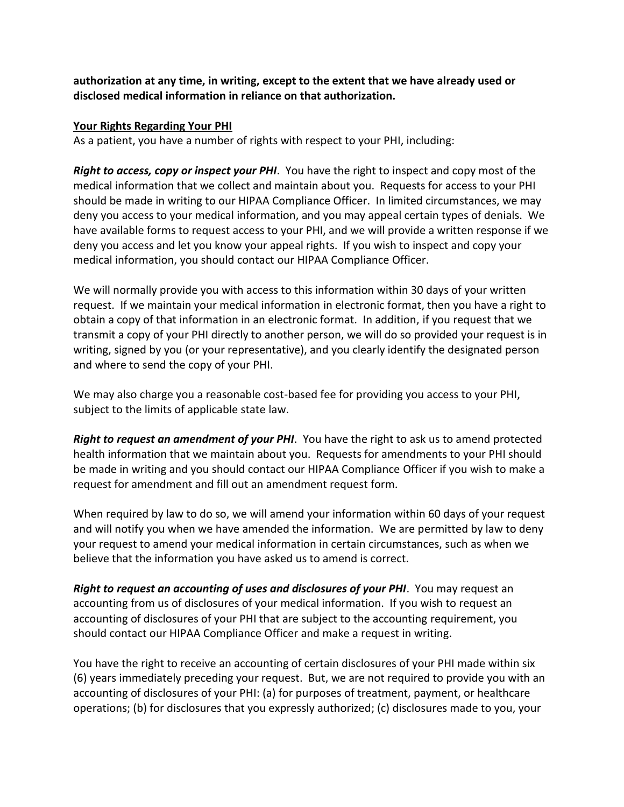**authorization at any time, in writing, except to the extent that we have already used or disclosed medical information in reliance on that authorization.**

### **Your Rights Regarding Your PHI**

As a patient, you have a number of rights with respect to your PHI, including:

*Right to access, copy or inspect your PHI*. You have the right to inspect and copy most of the medical information that we collect and maintain about you. Requests for access to your PHI should be made in writing to our HIPAA Compliance Officer. In limited circumstances, we may deny you access to your medical information, and you may appeal certain types of denials. We have available forms to request access to your PHI, and we will provide a written response if we deny you access and let you know your appeal rights. If you wish to inspect and copy your medical information, you should contact our HIPAA Compliance Officer.

We will normally provide you with access to this information within 30 days of your written request. If we maintain your medical information in electronic format, then you have a right to obtain a copy of that information in an electronic format. In addition, if you request that we transmit a copy of your PHI directly to another person, we will do so provided your request is in writing, signed by you (or your representative), and you clearly identify the designated person and where to send the copy of your PHI.

We may also charge you a reasonable cost-based fee for providing you access to your PHI, subject to the limits of applicable state law.

*Right to request an amendment of your PHI*. You have the right to ask us to amend protected health information that we maintain about you. Requests for amendments to your PHI should be made in writing and you should contact our HIPAA Compliance Officer if you wish to make a request for amendment and fill out an amendment request form.

When required by law to do so, we will amend your information within 60 days of your request and will notify you when we have amended the information. We are permitted by law to deny your request to amend your medical information in certain circumstances, such as when we believe that the information you have asked us to amend is correct.

*Right to request an accounting of uses and disclosures of your PHI*. You may request an accounting from us of disclosures of your medical information. If you wish to request an accounting of disclosures of your PHI that are subject to the accounting requirement, you should contact our HIPAA Compliance Officer and make a request in writing.

You have the right to receive an accounting of certain disclosures of your PHI made within six (6) years immediately preceding your request. But, we are not required to provide you with an accounting of disclosures of your PHI: (a) for purposes of treatment, payment, or healthcare operations; (b) for disclosures that you expressly authorized; (c) disclosures made to you, your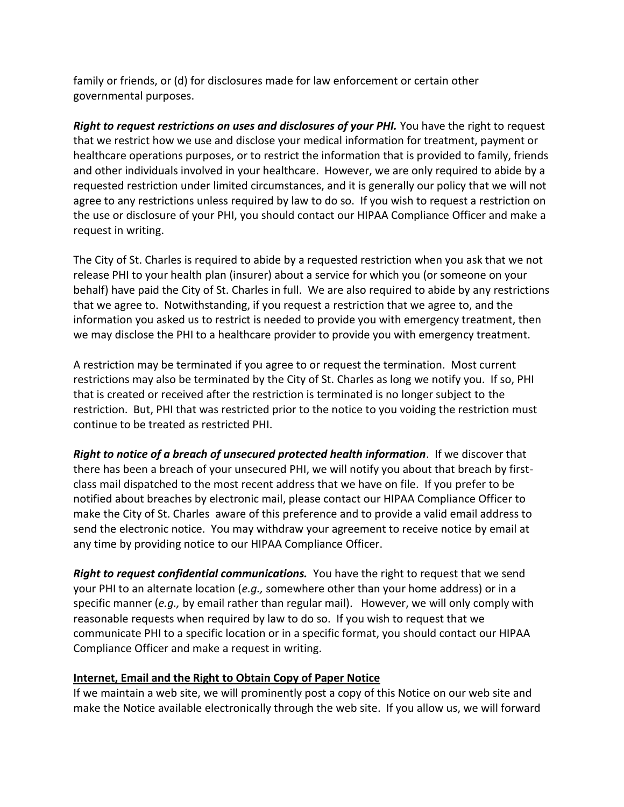family or friends, or (d) for disclosures made for law enforcement or certain other governmental purposes.

*Right to request restrictions on uses and disclosures of your PHI.* You have the right to request that we restrict how we use and disclose your medical information for treatment, payment or healthcare operations purposes, or to restrict the information that is provided to family, friends and other individuals involved in your healthcare. However, we are only required to abide by a requested restriction under limited circumstances, and it is generally our policy that we will not agree to any restrictions unless required by law to do so. If you wish to request a restriction on the use or disclosure of your PHI, you should contact our HIPAA Compliance Officer and make a request in writing.

The City of St. Charles is required to abide by a requested restriction when you ask that we not release PHI to your health plan (insurer) about a service for which you (or someone on your behalf) have paid the City of St. Charles in full. We are also required to abide by any restrictions that we agree to. Notwithstanding, if you request a restriction that we agree to, and the information you asked us to restrict is needed to provide you with emergency treatment, then we may disclose the PHI to a healthcare provider to provide you with emergency treatment.

A restriction may be terminated if you agree to or request the termination. Most current restrictions may also be terminated by the City of St. Charles as long we notify you. If so, PHI that is created or received after the restriction is terminated is no longer subject to the restriction. But, PHI that was restricted prior to the notice to you voiding the restriction must continue to be treated as restricted PHI.

*Right to notice of a breach of unsecured protected health information*. If we discover that there has been a breach of your unsecured PHI, we will notify you about that breach by firstclass mail dispatched to the most recent address that we have on file. If you prefer to be notified about breaches by electronic mail, please contact our HIPAA Compliance Officer to make the City of St. Charles aware of this preference and to provide a valid email address to send the electronic notice. You may withdraw your agreement to receive notice by email at any time by providing notice to our HIPAA Compliance Officer.

*Right to request confidential communications.* You have the right to request that we send your PHI to an alternate location (*e.g.,* somewhere other than your home address) or in a specific manner (*e.g.,* by email rather than regular mail). However, we will only comply with reasonable requests when required by law to do so. If you wish to request that we communicate PHI to a specific location or in a specific format, you should contact our HIPAA Compliance Officer and make a request in writing.

#### **Internet, Email and the Right to Obtain Copy of Paper Notice**

If we maintain a web site, we will prominently post a copy of this Notice on our web site and make the Notice available electronically through the web site. If you allow us, we will forward